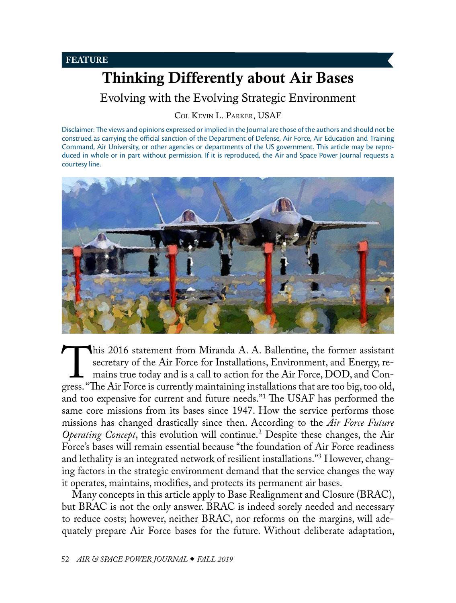<span id="page-0-1"></span>Evolving with the Evolving Strategic Environment

Col Kevin [L. Parker, USAF](#page-16-0)

Disclaimer: The views and opinions expressed or implied in the Journal are those of the authors and should not be construed as carrying the official sanction of the Department of Defense, Air Force, Air Education and Training Command, Air University, or other agencies or departments of the US government. This article may be reproduced in whole or in part without permission. If it is reproduced, the Air and Space Power Journal requests a courtesy line.



This 2016 statement from Miranda A. A. Ballentine, the former assistant secretary of the Air Force for Installations, Environment, and Energy, remains true today and is a call to action for the Air Force, DOD, and Congress secretary of the Air Force for Installations, Environment, and Energy, remains true today and is a call to action for the Air Force, DOD, and Conand too expensive for current and future needs."[1](#page-14-0) The USAF has performed the same core missions from its bases since 1947. How the service performs those missions has changed drastically since then. According to the *Air Force Future Operating Concept*, this evolution will continue.[2](#page-14-0) Despite these changes, the Air Force's bases will remain essential because "the foundation of Air Force readiness and lethality is an integrated network of resilient installations."[3](#page-14-0) However, changing factors in the strategic environment demand that the service changes the way it operates, maintains, modifies, and protects its permanent air bases.

<span id="page-0-0"></span>Many concepts in this article apply to Base Realignment and Closure (BRAC), but BRAC is not the only answer. BRAC is indeed sorely needed and necessary to reduce costs; however, neither BRAC, nor reforms on the margins, will adequately prepare Air Force bases for the future. Without deliberate adaptation,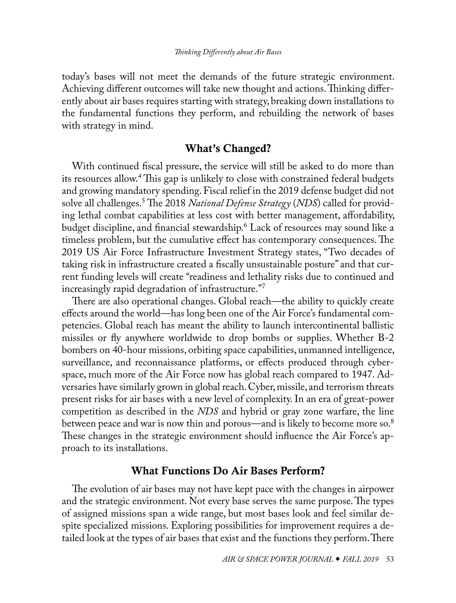<span id="page-1-0"></span>today's bases will not meet the demands of the future strategic environment. Achieving different outcomes will take new thought and actions. Thinking differently about air bases requires starting with strategy, breaking down installations to the fundamental functions they perform, and rebuilding the network of bases with strategy in mind.

# What's Changed?

With continued fiscal pressure, the service will still be asked to do more than its resources allow.[4](#page-15-0) This gap is unlikely to close with constrained federal budgets and growing mandatory spending. Fiscal relief in the 2019 defense budget did not solve all challenges.[5](#page-15-0) The 2018 *National Defense Strategy* (*NDS*) called for providing lethal combat capabilities at less cost with better management, affordability, budget discipline, and financial stewardship.[6](#page-15-0) Lack of resources may sound like a timeless problem, but the cumulative effect has contemporary consequences. The 2019 US Air Force Infrastructure Investment Strategy states, "Two decades of taking risk in infrastructure created a fiscally unsustainable posture" and that current funding levels will create "readiness and lethality risks due to continued and increasingly rapid degradation of infrastructure.["7](#page-15-0)

There are also operational changes. Global reach—the ability to quickly create effects around the world—has long been one of the Air Force's fundamental competencies. Global reach has meant the ability to launch intercontinental ballistic missiles or fly anywhere worldwide to drop bombs or supplies. Whether B-2 bombers on 40-hour missions, orbiting space capabilities, unmanned intelligence, surveillance, and reconnaissance platforms, or effects produced through cyberspace, much more of the Air Force now has global reach compared to 1947. Adversaries have similarly grown in global reach. Cyber, missile, and terrorism threats present risks for air bases with a new level of complexity. In an era of great-power competition as described in the *NDS* and hybrid or gray zone warfare, the line between peace and war is now thin and porous—and is likely to become more so.<sup>8</sup> These changes in the strategic environment should influence the Air Force's approach to its installations.

### What Functions Do Air Bases Perform?

The evolution of air bases may not have kept pace with the changes in airpower and the strategic environment. Not every base serves the same purpose. The types of assigned missions span a wide range, but most bases look and feel similar despite specialized missions. Exploring possibilities for improvement requires a detailed look at the types of air bases that exist and the functions they perform. There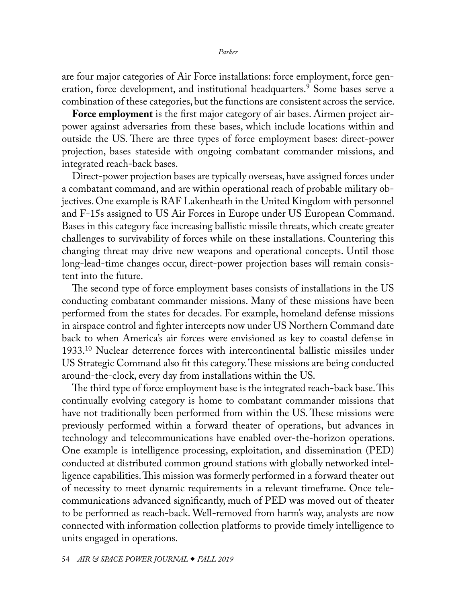<span id="page-2-0"></span>are four major categories of Air Force installations: force employment, force generation, force development, and institutional headquarters.[9](#page-15-0) Some bases serve a combination of these categories, but the functions are consistent across the service.

**Force employment** is the first major category of air bases. Airmen project airpower against adversaries from these bases, which include locations within and outside the US. There are three types of force employment bases: direct-power projection, bases stateside with ongoing combatant commander missions, and integrated reach-back bases.

Direct-power projection bases are typically overseas, have assigned forces under a combatant command, and are within operational reach of probable military objectives. One example is RAF Lakenheath in the United Kingdom with personnel and F-15s assigned to US Air Forces in Europe under US European Command. Bases in this category face increasing ballistic missile threats, which create greater challenges to survivability of forces while on these installations. Countering this changing threat may drive new weapons and operational concepts. Until those long-lead-time changes occur, direct-power projection bases will remain consistent into the future.

The second type of force employment bases consists of installations in the US conducting combatant commander missions. Many of these missions have been performed from the states for decades. For example, homeland defense missions in airspace control and fighter intercepts now under US Northern Command date back to when America's air forces were envisioned as key to coastal defense in 1933[.10](#page-15-0) Nuclear deterrence forces with intercontinental ballistic missiles under US Strategic Command also fit this category. These missions are being conducted around-the-clock, every day from installations within the US.

The third type of force employment base is the integrated reach-back base. This continually evolving category is home to combatant commander missions that have not traditionally been performed from within the US. These missions were previously performed within a forward theater of operations, but advances in technology and telecommunications have enabled over-the-horizon operations. One example is intelligence processing, exploitation, and dissemination (PED) conducted at distributed common ground stations with globally networked intelligence capabilities. This mission was formerly performed in a forward theater out of necessity to meet dynamic requirements in a relevant timeframe. Once telecommunications advanced significantly, much of PED was moved out of theater to be performed as reach-back. Well-removed from harm's way, analysts are now connected with information collection platforms to provide timely intelligence to units engaged in operations.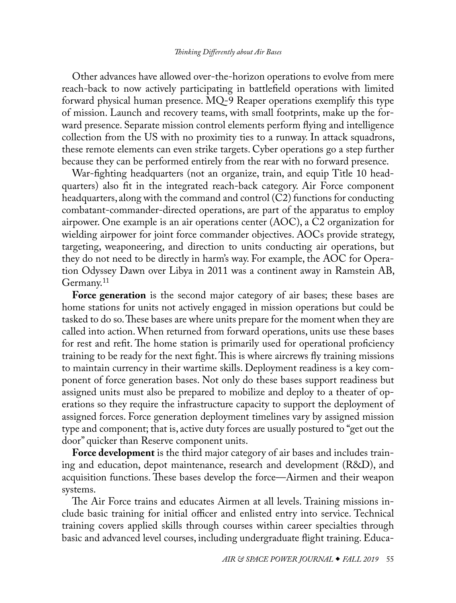<span id="page-3-0"></span>Other advances have allowed over-the-horizon operations to evolve from mere reach-back to now actively participating in battlefield operations with limited forward physical human presence. MQ-9 Reaper operations exemplify this type of mission. Launch and recovery teams, with small footprints, make up the forward presence. Separate mission control elements perform flying and intelligence collection from the US with no proximity ties to a runway. In attack squadrons, these remote elements can even strike targets. Cyber operations go a step further because they can be performed entirely from the rear with no forward presence.

War-fighting headquarters (not an organize, train, and equip Title 10 headquarters) also fit in the integrated reach-back category. Air Force component headquarters, along with the command and control (C2) functions for conducting combatant-commander-directed operations, are part of the apparatus to employ airpower. One example is an air operations center (AOC), a C2 organization for wielding airpower for joint force commander objectives. AOCs provide strategy, targeting, weaponeering, and direction to units conducting air operations, but they do not need to be directly in harm's way. For example, the AOC for Operation Odyssey Dawn over Libya in 2011 was a continent away in Ramstein AB, Germany.<sup>11</sup>

**Force generation** is the second major category of air bases; these bases are home stations for units not actively engaged in mission operations but could be tasked to do so. These bases are where units prepare for the moment when they are called into action. When returned from forward operations, units use these bases for rest and refit. The home station is primarily used for operational proficiency training to be ready for the next fight. This is where aircrews fly training missions to maintain currency in their wartime skills. Deployment readiness is a key component of force generation bases. Not only do these bases support readiness but assigned units must also be prepared to mobilize and deploy to a theater of operations so they require the infrastructure capacity to support the deployment of assigned forces. Force generation deployment timelines vary by assigned mission type and component; that is, active duty forces are usually postured to "get out the door" quicker than Reserve component units.

**Force development** is the third major category of air bases and includes training and education, depot maintenance, research and development (R&D), and acquisition functions. These bases develop the force—Airmen and their weapon systems.

The Air Force trains and educates Airmen at all levels. Training missions include basic training for initial officer and enlisted entry into service. Technical training covers applied skills through courses within career specialties through basic and advanced level courses, including undergraduate flight training. Educa-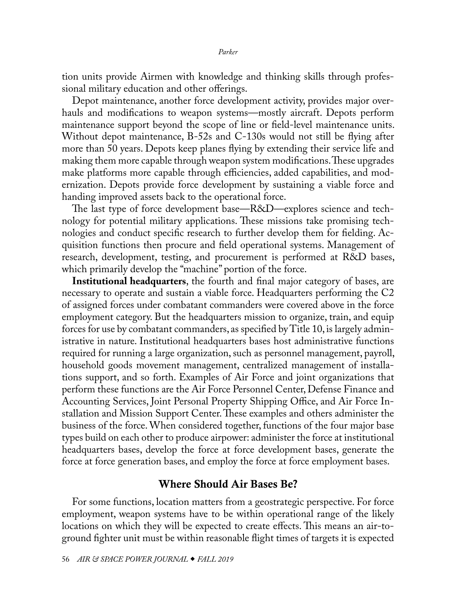tion units provide Airmen with knowledge and thinking skills through professional military education and other offerings.

Depot maintenance, another force development activity, provides major overhauls and modifications to weapon systems—mostly aircraft. Depots perform maintenance support beyond the scope of line or field-level maintenance units. Without depot maintenance, B-52s and C-130s would not still be flying after more than 50 years. Depots keep planes flying by extending their service life and making them more capable through weapon system modifications. These upgrades make platforms more capable through efficiencies, added capabilities, and modernization. Depots provide force development by sustaining a viable force and handing improved assets back to the operational force.

The last type of force development base—R&D—explores science and technology for potential military applications. These missions take promising technologies and conduct specific research to further develop them for fielding. Acquisition functions then procure and field operational systems. Management of research, development, testing, and procurement is performed at R&D bases, which primarily develop the "machine" portion of the force.

**Institutional headquarters**, the fourth and final major category of bases, are necessary to operate and sustain a viable force. Headquarters performing the C2 of assigned forces under combatant commanders were covered above in the force employment category. But the headquarters mission to organize, train, and equip forces for use by combatant commanders, as specified by Title 10, is largely administrative in nature. Institutional headquarters bases host administrative functions required for running a large organization, such as personnel management, payroll, household goods movement management, centralized management of installations support, and so forth. Examples of Air Force and joint organizations that perform these functions are the Air Force Personnel Center, Defense Finance and Accounting Services, Joint Personal Property Shipping Office, and Air Force Installation and Mission Support Center. These examples and others administer the business of the force. When considered together, functions of the four major base types build on each other to produce airpower: administer the force at institutional headquarters bases, develop the force at force development bases, generate the force at force generation bases, and employ the force at force employment bases.

# Where Should Air Bases Be?

For some functions, location matters from a geostrategic perspective. For force employment, weapon systems have to be within operational range of the likely locations on which they will be expected to create effects. This means an air-toground fighter unit must be within reasonable flight times of targets it is expected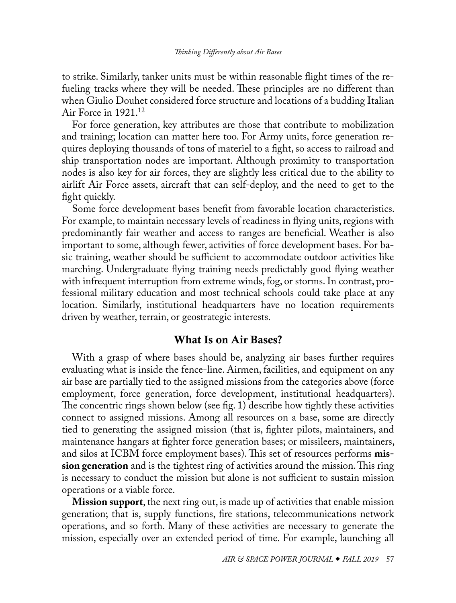<span id="page-5-0"></span>to strike. Similarly, tanker units must be within reasonable flight times of the refueling tracks where they will be needed. These principles are no different than when Giulio Douhet considered force structure and locations of a budding Italian Air Force in 1921.[12](#page-15-0)

For force generation, key attributes are those that contribute to mobilization and training; location can matter here too. For Army units, force generation requires deploying thousands of tons of materiel to a fight, so access to railroad and ship transportation nodes are important. Although proximity to transportation nodes is also key for air forces, they are slightly less critical due to the ability to airlift Air Force assets, aircraft that can self-deploy, and the need to get to the fight quickly.

Some force development bases benefit from favorable location characteristics. For example, to maintain necessary levels of readiness in flying units, regions with predominantly fair weather and access to ranges are beneficial. Weather is also important to some, although fewer, activities of force development bases. For basic training, weather should be sufficient to accommodate outdoor activities like marching. Undergraduate flying training needs predictably good flying weather with infrequent interruption from extreme winds, fog, or storms. In contrast, professional military education and most technical schools could take place at any location. Similarly, institutional headquarters have no location requirements driven by weather, terrain, or geostrategic interests.

# What Is on Air Bases?

With a grasp of where bases should be, analyzing air bases further requires evaluating what is inside the fence-line. Airmen, facilities, and equipment on any air base are partially tied to the assigned missions from the categories above (force employment, force generation, force development, institutional headquarters). The concentric rings shown below (see fig. 1) describe how tightly these activities connect to assigned missions. Among all resources on a base, some are directly tied to generating the assigned mission (that is, fighter pilots, maintainers, and maintenance hangars at fighter force generation bases; or missileers, maintainers, and silos at ICBM force employment bases). This set of resources performs **mission generation** and is the tightest ring of activities around the mission. This ring is necessary to conduct the mission but alone is not sufficient to sustain mission operations or a viable force.

**Mission support**, the next ring out, is made up of activities that enable mission generation; that is, supply functions, fire stations, telecommunications network operations, and so forth. Many of these activities are necessary to generate the mission, especially over an extended period of time. For example, launching all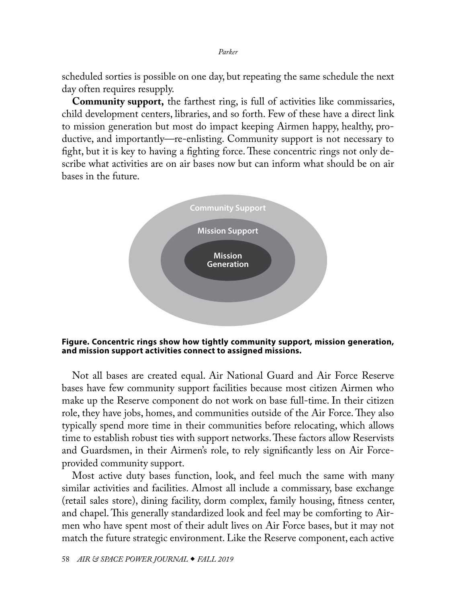*Parker*

scheduled sorties is possible on one day, but repeating the same schedule the next day often requires resupply.

**Community support,** the farthest ring, is full of activities like commissaries, child development centers, libraries, and so forth. Few of these have a direct link to mission generation but most do impact keeping Airmen happy, healthy, productive, and importantly—re-enlisting. Community support is not necessary to fight, but it is key to having a fighting force. These concentric rings not only describe what activities are on air bases now but can inform what should be on air bases in the future.



**Figure. Concentric rings show how tightly community support, mission generation, and mission support activities connect to assigned missions.**

Not all bases are created equal. Air National Guard and Air Force Reserve bases have few community support facilities because most citizen Airmen who make up the Reserve component do not work on base full-time. In their citizen role, they have jobs, homes, and communities outside of the Air Force. They also typically spend more time in their communities before relocating, which allows time to establish robust ties with support networks. These factors allow Reservists and Guardsmen, in their Airmen's role, to rely significantly less on Air Forceprovided community support.

Most active duty bases function, look, and feel much the same with many similar activities and facilities. Almost all include a commissary, base exchange (retail sales store), dining facility, dorm complex, family housing, fitness center, and chapel. This generally standardized look and feel may be comforting to Airmen who have spent most of their adult lives on Air Force bases, but it may not match the future strategic environment. Like the Reserve component, each active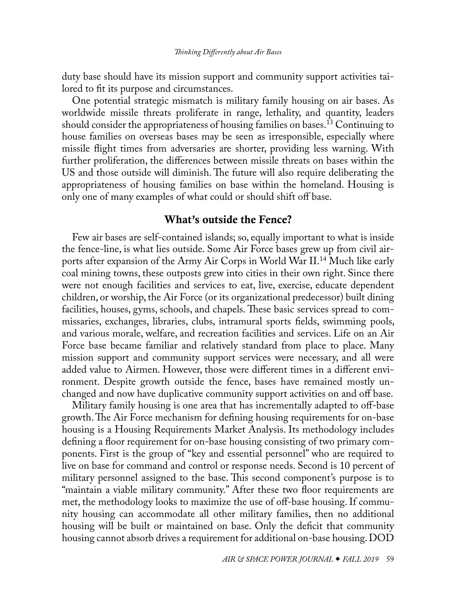<span id="page-7-0"></span>duty base should have its mission support and community support activities tailored to fit its purpose and circumstances.

One potential strategic mismatch is military family housing on air bases. As worldwide missile threats proliferate in range, lethality, and quantity, leaders should consider the appropriateness of housing families on bases.<sup>13</sup> Continuing to house families on overseas bases may be seen as irresponsible, especially where missile flight times from adversaries are shorter, providing less warning. With further proliferation, the differences between missile threats on bases within the US and those outside will diminish. The future will also require deliberating the appropriateness of housing families on base within the homeland. Housing is only one of many examples of what could or should shift off base.

# What's outside the Fence?

Few air bases are self-contained islands; so, equally important to what is inside the fence-line, is what lies outside. Some Air Force bases grew up from civil airports after expansion of the Army Air Corps in World War II.<sup>14</sup> Much like early coal mining towns, these outposts grew into cities in their own right. Since there were not enough facilities and services to eat, live, exercise, educate dependent children, or worship, the Air Force (or its organizational predecessor) built dining facilities, houses, gyms, schools, and chapels. These basic services spread to commissaries, exchanges, libraries, clubs, intramural sports fields, swimming pools, and various morale, welfare, and recreation facilities and services. Life on an Air Force base became familiar and relatively standard from place to place. Many mission support and community support services were necessary, and all were added value to Airmen. However, those were different times in a different environment. Despite growth outside the fence, bases have remained mostly unchanged and now have duplicative community support activities on and off base.

Military family housing is one area that has incrementally adapted to off-base growth. The Air Force mechanism for defining housing requirements for on-base housing is a Housing Requirements Market Analysis. Its methodology includes defining a floor requirement for on-base housing consisting of two primary components. First is the group of "key and essential personnel" who are required to live on base for command and control or response needs. Second is 10 percent of military personnel assigned to the base. This second component's purpose is to "maintain a viable military community." After these two floor requirements are met, the methodology looks to maximize the use of off-base housing. If community housing can accommodate all other military families, then no additional housing will be built or maintained on base. Only the deficit that community housing cannot absorb drives a requirement for additional on-base housing. DOD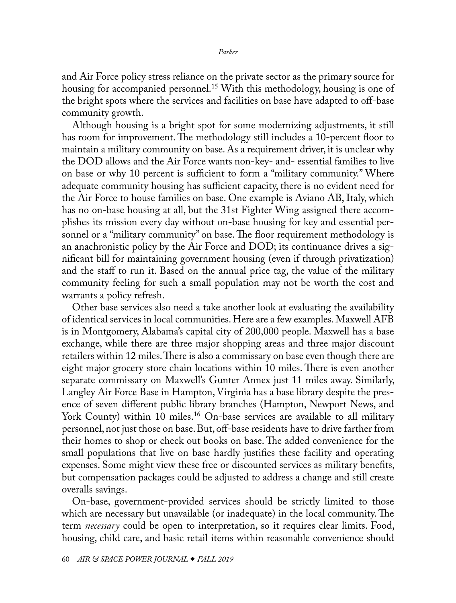<span id="page-8-0"></span>and Air Force policy stress reliance on the private sector as the primary source for housing for accompanied personnel.<sup>[15](#page-15-0)</sup> With this methodology, housing is one of the bright spots where the services and facilities on base have adapted to off-base community growth.

Although housing is a bright spot for some modernizing adjustments, it still has room for improvement. The methodology still includes a 10-percent floor to maintain a military community on base. As a requirement driver, it is unclear why the DOD allows and the Air Force wants non-key- and- essential families to live on base or why 10 percent is sufficient to form a "military community." Where adequate community housing has sufficient capacity, there is no evident need for the Air Force to house families on base. One example is Aviano AB, Italy, which has no on-base housing at all, but the 31st Fighter Wing assigned there accomplishes its mission every day without on-base housing for key and essential personnel or a "military community" on base. The floor requirement methodology is an anachronistic policy by the Air Force and DOD; its continuance drives a significant bill for maintaining government housing (even if through privatization) and the staff to run it. Based on the annual price tag, the value of the military community feeling for such a small population may not be worth the cost and warrants a policy refresh.

Other base services also need a take another look at evaluating the availability of identical services in local communities. Here are a few examples. Maxwell AFB is in Montgomery, Alabama's capital city of 200,000 people. Maxwell has a base exchange, while there are three major shopping areas and three major discount retailers within 12 miles. There is also a commissary on base even though there are eight major grocery store chain locations within 10 miles. There is even another separate commissary on Maxwell's Gunter Annex just 11 miles away. Similarly, Langley Air Force Base in Hampton, Virginia has a base library despite the presence of seven different public library branches (Hampton, Newport News, and York County) within 10 miles.<sup>16</sup> On-base services are available to all military personnel, not just those on base. But, off-base residents have to drive farther from their homes to shop or check out books on base. The added convenience for the small populations that live on base hardly justifies these facility and operating expenses. Some might view these free or discounted services as military benefits, but compensation packages could be adjusted to address a change and still create overalls savings.

On-base, government-provided services should be strictly limited to those which are necessary but unavailable (or inadequate) in the local community. The term *necessary* could be open to interpretation, so it requires clear limits. Food, housing, child care, and basic retail items within reasonable convenience should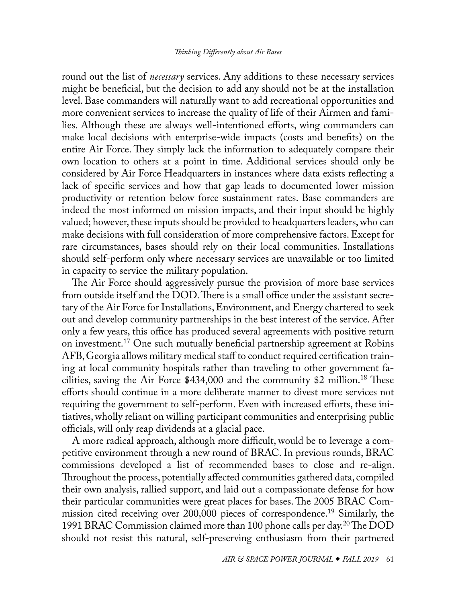<span id="page-9-0"></span>round out the list of *necessary* services. Any additions to these necessary services might be beneficial, but the decision to add any should not be at the installation level. Base commanders will naturally want to add recreational opportunities and more convenient services to increase the quality of life of their Airmen and families. Although these are always well-intentioned efforts, wing commanders can make local decisions with enterprise-wide impacts (costs and benefits) on the entire Air Force. They simply lack the information to adequately compare their own location to others at a point in time. Additional services should only be considered by Air Force Headquarters in instances where data exists reflecting a lack of specific services and how that gap leads to documented lower mission productivity or retention below force sustainment rates. Base commanders are indeed the most informed on mission impacts, and their input should be highly valued; however, these inputs should be provided to headquarters leaders, who can make decisions with full consideration of more comprehensive factors. Except for rare circumstances, bases should rely on their local communities. Installations should self-perform only where necessary services are unavailable or too limited in capacity to service the military population.

The Air Force should aggressively pursue the provision of more base services from outside itself and the DOD. There is a small office under the assistant secretary of the Air Force for Installations, Environment, and Energy chartered to seek out and develop community partnerships in the best interest of the service. After only a few years, this office has produced several agreements with positive return on investment.[17](#page-16-1) One such mutually beneficial partnership agreement at Robins AFB, Georgia allows military medical staff to conduct required certification training at local community hospitals rather than traveling to other government facilities, saving the Air Force  $$434,000$  and the community  $$2$  million.<sup>18</sup> These efforts should continue in a more deliberate manner to divest more services not requiring the government to self-perform. Even with increased efforts, these initiatives, wholly reliant on willing participant communities and enterprising public officials, will only reap dividends at a glacial pace.

A more radical approach, although more difficult, would be to leverage a competitive environment through a new round of BRAC. In previous rounds, BRAC commissions developed a list of recommended bases to close and re-align. Throughout the process, potentially affected communities gathered data, compiled their own analysis, rallied support, and laid out a compassionate defense for how their particular communities were great places for bases. The 2005 BRAC Commission cited receiving over 200,000 pieces of correspondence.<sup>19</sup> Similarly, the 1991 BRAC Commission claimed more than 100 phone calls per day.[20](#page-16-1) The DOD should not resist this natural, self-preserving enthusiasm from their partnered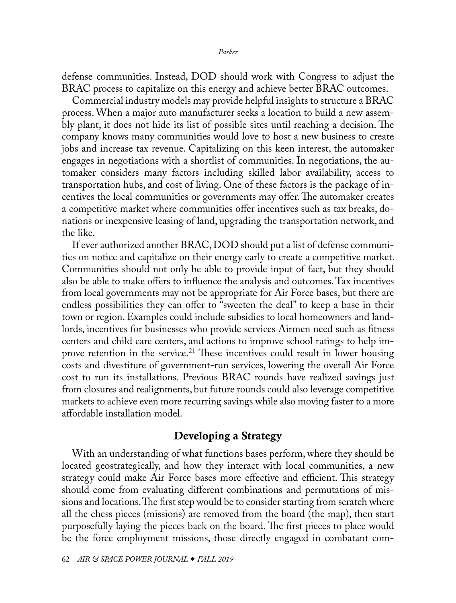<span id="page-10-0"></span>defense communities. Instead, DOD should work with Congress to adjust the BRAC process to capitalize on this energy and achieve better BRAC outcomes.

Commercial industry models may provide helpful insights to structure a BRAC process. When a major auto manufacturer seeks a location to build a new assembly plant, it does not hide its list of possible sites until reaching a decision. The company knows many communities would love to host a new business to create jobs and increase tax revenue. Capitalizing on this keen interest, the automaker engages in negotiations with a shortlist of communities. In negotiations, the automaker considers many factors including skilled labor availability, access to transportation hubs, and cost of living. One of these factors is the package of incentives the local communities or governments may offer. The automaker creates a competitive market where communities offer incentives such as tax breaks, donations or inexpensive leasing of land, upgrading the transportation network, and the like.

If ever authorized another BRAC, DOD should put a list of defense communities on notice and capitalize on their energy early to create a competitive market. Communities should not only be able to provide input of fact, but they should also be able to make offers to influence the analysis and outcomes. Tax incentives from local governments may not be appropriate for Air Force bases, but there are endless possibilities they can offer to "sweeten the deal" to keep a base in their town or region. Examples could include subsidies to local homeowners and landlords, incentives for businesses who provide services Airmen need such as fitness centers and child care centers, and actions to improve school ratings to help improve retention in the service.<sup>21</sup> These incentives could result in lower housing costs and divestiture of government-run services, lowering the overall Air Force cost to run its installations. Previous BRAC rounds have realized savings just from closures and realignments, but future rounds could also leverage competitive markets to achieve even more recurring savings while also moving faster to a more affordable installation model.

# Developing a Strategy

With an understanding of what functions bases perform, where they should be located geostrategically, and how they interact with local communities, a new strategy could make Air Force bases more effective and efficient. This strategy should come from evaluating different combinations and permutations of missions and locations. The first step would be to consider starting from scratch where all the chess pieces (missions) are removed from the board (the map), then start purposefully laying the pieces back on the board. The first pieces to place would be the force employment missions, those directly engaged in combatant com-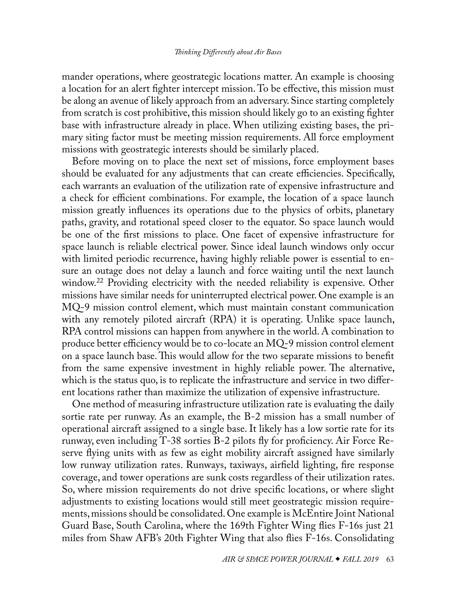<span id="page-11-0"></span>mander operations, where geostrategic locations matter. An example is choosing a location for an alert fighter intercept mission. To be effective, this mission must be along an avenue of likely approach from an adversary. Since starting completely from scratch is cost prohibitive, this mission should likely go to an existing fighter base with infrastructure already in place. When utilizing existing bases, the primary siting factor must be meeting mission requirements. All force employment missions with geostrategic interests should be similarly placed.

Before moving on to place the next set of missions, force employment bases should be evaluated for any adjustments that can create efficiencies. Specifically, each warrants an evaluation of the utilization rate of expensive infrastructure and a check for efficient combinations. For example, the location of a space launch mission greatly influences its operations due to the physics of orbits, planetary paths, gravity, and rotational speed closer to the equator. So space launch would be one of the first missions to place. One facet of expensive infrastructure for space launch is reliable electrical power. Since ideal launch windows only occur with limited periodic recurrence, having highly reliable power is essential to ensure an outage does not delay a launch and force waiting until the next launch window.<sup>22</sup> Providing electricity with the needed reliability is expensive. Other missions have similar needs for uninterrupted electrical power. One example is an MQ-9 mission control element, which must maintain constant communication with any remotely piloted aircraft (RPA) it is operating. Unlike space launch, RPA control missions can happen from anywhere in the world. A combination to produce better efficiency would be to co-locate an  $MQ-9$  mission control element on a space launch base. This would allow for the two separate missions to benefit from the same expensive investment in highly reliable power. The alternative, which is the status quo, is to replicate the infrastructure and service in two different locations rather than maximize the utilization of expensive infrastructure.

One method of measuring infrastructure utilization rate is evaluating the daily sortie rate per runway. As an example, the B-2 mission has a small number of operational aircraft assigned to a single base. It likely has a low sortie rate for its runway, even including T-38 sorties B-2 pilots fly for proficiency. Air Force Reserve flying units with as few as eight mobility aircraft assigned have similarly low runway utilization rates. Runways, taxiways, airfield lighting, fire response coverage, and tower operations are sunk costs regardless of their utilization rates. So, where mission requirements do not drive specific locations, or where slight adjustments to existing locations would still meet geostrategic mission requirements, missions should be consolidated. One example is McEntire Joint National Guard Base, South Carolina, where the 169th Fighter Wing flies F-16s just 21 miles from Shaw AFB's 20th Fighter Wing that also flies F-16s. Consolidating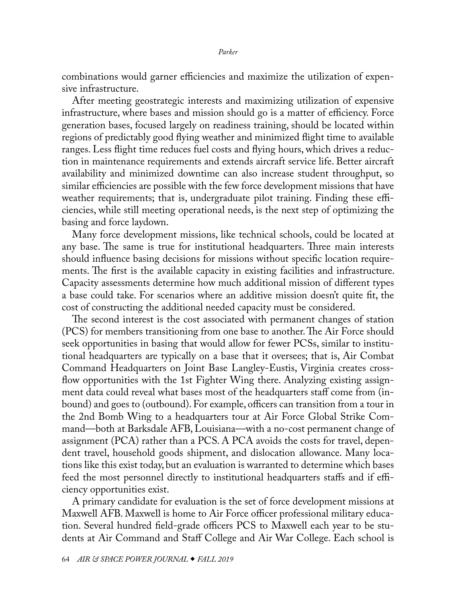combinations would garner efficiencies and maximize the utilization of expensive infrastructure.

After meeting geostrategic interests and maximizing utilization of expensive infrastructure, where bases and mission should go is a matter of efficiency. Force generation bases, focused largely on readiness training, should be located within regions of predictably good flying weather and minimized flight time to available ranges. Less flight time reduces fuel costs and flying hours, which drives a reduction in maintenance requirements and extends aircraft service life. Better aircraft availability and minimized downtime can also increase student throughput, so similar efficiencies are possible with the few force development missions that have weather requirements; that is, undergraduate pilot training. Finding these efficiencies, while still meeting operational needs, is the next step of optimizing the basing and force laydown.

Many force development missions, like technical schools, could be located at any base. The same is true for institutional headquarters. Three main interests should influence basing decisions for missions without specific location requirements. The first is the available capacity in existing facilities and infrastructure. Capacity assessments determine how much additional mission of different types a base could take. For scenarios where an additive mission doesn't quite fit, the cost of constructing the additional needed capacity must be considered.

The second interest is the cost associated with permanent changes of station (PCS) for members transitioning from one base to another. The Air Force should seek opportunities in basing that would allow for fewer PCSs, similar to institutional headquarters are typically on a base that it oversees; that is, Air Combat Command Headquarters on Joint Base Langley-Eustis, Virginia creates crossflow opportunities with the 1st Fighter Wing there. Analyzing existing assignment data could reveal what bases most of the headquarters staff come from (inbound) and goes to (outbound). For example, officers can transition from a tour in the 2nd Bomb Wing to a headquarters tour at Air Force Global Strike Command—both at Barksdale AFB, Louisiana—with a no-cost permanent change of assignment (PCA) rather than a PCS. A PCA avoids the costs for travel, dependent travel, household goods shipment, and dislocation allowance. Many locations like this exist today, but an evaluation is warranted to determine which bases feed the most personnel directly to institutional headquarters staffs and if efficiency opportunities exist.

A primary candidate for evaluation is the set of force development missions at Maxwell AFB. Maxwell is home to Air Force officer professional military education. Several hundred field-grade officers PCS to Maxwell each year to be students at Air Command and Staff College and Air War College. Each school is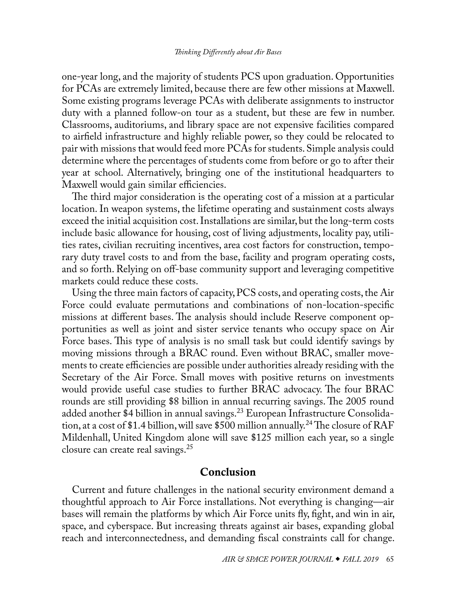<span id="page-13-0"></span>one-year long, and the majority of students PCS upon graduation. Opportunities for PCAs are extremely limited, because there are few other missions at Maxwell. Some existing programs leverage PCAs with deliberate assignments to instructor duty with a planned follow-on tour as a student, but these are few in number. Classrooms, auditoriums, and library space are not expensive facilities compared to airfield infrastructure and highly reliable power, so they could be relocated to pair with missions that would feed more PCAs for students. Simple analysis could determine where the percentages of students come from before or go to after their year at school. Alternatively, bringing one of the institutional headquarters to Maxwell would gain similar efficiencies.

The third major consideration is the operating cost of a mission at a particular location. In weapon systems, the lifetime operating and sustainment costs always exceed the initial acquisition cost. Installations are similar, but the long-term costs include basic allowance for housing, cost of living adjustments, locality pay, utilities rates, civilian recruiting incentives, area cost factors for construction, temporary duty travel costs to and from the base, facility and program operating costs, and so forth. Relying on off-base community support and leveraging competitive markets could reduce these costs.

Using the three main factors of capacity, PCS costs, and operating costs, the Air Force could evaluate permutations and combinations of non-location-specific missions at different bases. The analysis should include Reserve component opportunities as well as joint and sister service tenants who occupy space on Air Force bases. This type of analysis is no small task but could identify savings by moving missions through a BRAC round. Even without BRAC, smaller movements to create efficiencies are possible under authorities already residing with the Secretary of the Air Force. Small moves with positive returns on investments would provide useful case studies to further BRAC advocacy. The four BRAC rounds are still providing \$8 billion in annual recurring savings. The 2005 round added another \$4 billion in annual savings.<sup>23</sup> European Infrastructure Consolidation, at a cost of \$1.4 billion, will save \$500 million annually.<sup>24</sup> The closure of RAF Mildenhall, United Kingdom alone will save \$125 million each year, so a single closure can create real savings[.25](#page-16-1)

# Conclusion

Current and future challenges in the national security environment demand a thoughtful approach to Air Force installations. Not everything is changing—air bases will remain the platforms by which Air Force units fly, fight, and win in air, space, and cyberspace. But increasing threats against air bases, expanding global reach and interconnectedness, and demanding fiscal constraints call for change.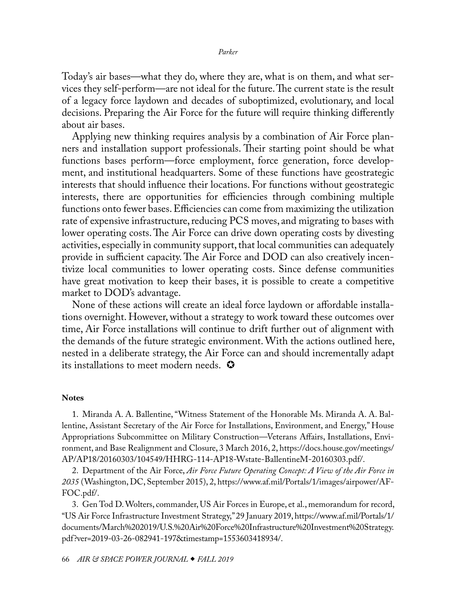<span id="page-14-0"></span>Today's air bases—what they do, where they are, what is on them, and what services they self-perform—are not ideal for the future. The current state is the result of a legacy force laydown and decades of suboptimized, evolutionary, and local decisions. Preparing the Air Force for the future will require thinking differently about air bases.

Applying new thinking requires analysis by a combination of Air Force planners and installation support professionals. Their starting point should be what functions bases perform—force employment, force generation, force development, and institutional headquarters. Some of these functions have geostrategic interests that should influence their locations. For functions without geostrategic interests, there are opportunities for efficiencies through combining multiple functions onto fewer bases. Efficiencies can come from maximizing the utilization rate of expensive infrastructure, reducing PCS moves, and migrating to bases with lower operating costs. The Air Force can drive down operating costs by divesting activities, especially in community support, that local communities can adequately provide in sufficient capacity. The Air Force and DOD can also creatively incentivize local communities to lower operating costs. Since defense communities have great motivation to keep their bases, it is possible to create a competitive market to DOD's advantage.

None of these actions will create an ideal force laydown or affordable installations overnight. However, without a strategy to work toward these outcomes over time, Air Force installations will continue to drift further out of alignment with the demands of the future strategic environment. With the actions outlined here, nested in a deliberate strategy, the Air Force can and should incrementally adapt its installations to meet modern needs.  $\bullet$ 

### **Notes**

[1](#page-0-1). Miranda A. A. Ballentine, "Witness Statement of the Honorable Ms. Miranda A. A. Ballentine, Assistant Secretary of the Air Force for Installations, Environment, and Energy," House Appropriations Subcommittee on Military Construction—Veterans Affairs, Installations, Environment, and Base Realignment and Closure, 3 March 2016, 2, [https://docs.house.gov/meetings/](https://docs.house.gov/meetings/AP/AP18/20160303/104549/HHRG-114-AP18-Wstate-BallentineM-20160303.pdf) [AP/AP18/20160303/104549/HHRG-114-AP18-Wstate-BallentineM-20160303.pdf](https://docs.house.gov/meetings/AP/AP18/20160303/104549/HHRG-114-AP18-Wstate-BallentineM-20160303.pdf)/.

[2](#page-0-1). Department of the Air Force, *Air Force Future Operating Concept: A View of the Air Force in 2035* (Washington, DC, September 2015), 2, [https://www.af.mil/Portals/1/images/airpower/AF-](https://www.af.mil/Portals/1/images/airpower/AFFOC.pdf)[FOC.pdf/](https://www.af.mil/Portals/1/images/airpower/AFFOC.pdf).

[3](#page-0-1). Gen Tod D. Wolters, commander, US Air Forces in Europe, et al., memorandum for record, "US Air Force Infrastructure Investment Strategy," 29 January 2019, [https://www.af.mil/Portals/1/](https://www.af.mil/Portals/1/documents/March%202019/U.S.%20Air%20Force%20Infrastructure%20Investment%20Strategy.pdf?ver=2019-03-26-082941-197×tamp=1553603418934) [documents/March%202019/U.S.%20Air%20Force%20Infrastructure%20Investment%20Strategy.](https://www.af.mil/Portals/1/documents/March%202019/U.S.%20Air%20Force%20Infrastructure%20Investment%20Strategy.pdf?ver=2019-03-26-082941-197×tamp=1553603418934) [pdf?ver=2019-03-26-082941-197&timestamp=1553603418934/](https://www.af.mil/Portals/1/documents/March%202019/U.S.%20Air%20Force%20Infrastructure%20Investment%20Strategy.pdf?ver=2019-03-26-082941-197×tamp=1553603418934).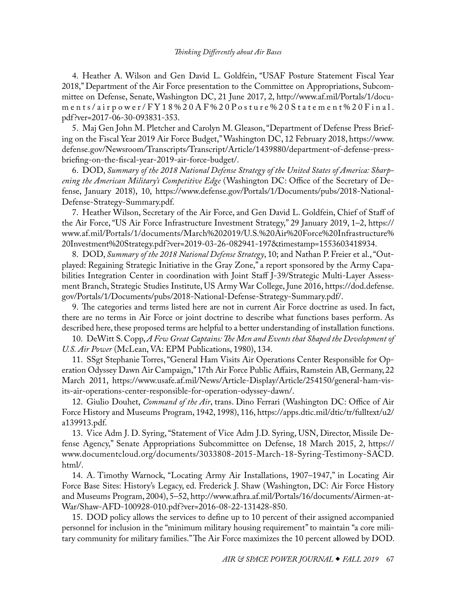<span id="page-15-0"></span>[4](#page-1-0). Heather A. Wilson and Gen David L. Goldfein, "USAF Posture Statement Fiscal Year 2018," Department of the Air Force presentation to the Committee on Appropriations, Subcommittee on Defense, Senate, Washington DC, 21 June 2017, 2, [http://www.af.mil/Portals/1/docu](http://www.af.mil/Portals/1/documents/airpower/FY18%20AF%20Posture%20Statement%20Final.pdf?ver=2017-06-30-093831-353)[ments/airpower/FY18%20AF%20Posture%20Statement%20Final.](http://www.af.mil/Portals/1/documents/airpower/FY18%20AF%20Posture%20Statement%20Final.pdf?ver=2017-06-30-093831-353) [pdf?ver=2017-06-30-093831-353.](http://www.af.mil/Portals/1/documents/airpower/FY18%20AF%20Posture%20Statement%20Final.pdf?ver=2017-06-30-093831-353)

[5](#page-1-0). Maj Gen John M. Pletcher and Carolyn M. Gleason, "Department of Defense Press Briefing on the Fiscal Year 2019 Air Force Budget," Washington DC, 12 February 2018, [https://www.](https://www.defense.gov/Newsroom/Transcripts/Transcript/Article/1439880/department-of-defense-press-) [defense.gov/Newsroom/Transcripts/Transcript/Article/1439880/department-of-defense-press](https://www.defense.gov/Newsroom/Transcripts/Transcript/Article/1439880/department-of-defense-press-)[briefing-on-the-fiscal-year-2019-air-force-budget/.](https://www.defense.gov/Newsroom/Transcripts/Transcript/Article/1439880/department-of-defense-press-)

[6](#page-1-0). DOD, *Summary of the 2018 National Defense Strategy of the United States of America: Sharpening the American Military's Competitive Edge* (Washington DC: Office of the Secretary of Defense, January 2018), 10, [https://www.defense.gov/Portals/1/Documents/pubs/2018-National-](https://www.defense.gov/Portals/1/Documents/pubs/2018-National-Defense-Strategy-Summary.pdf)[Defense-Strategy-Summary.pdf.](https://www.defense.gov/Portals/1/Documents/pubs/2018-National-Defense-Strategy-Summary.pdf)

[7](#page-1-0). Heather Wilson, Secretary of the Air Force, and Gen David L. Goldfein, Chief of Staff of the Air Force, "US Air Force Infrastructure Investment Strategy," 29 January 2019, 1–2, [https://](https://www.af.mil/Portals/1/documents/March%202019/U.S.%20Air%20Force%20
Infrastructure%20Investment%20Strategy.pdf) [www.af.mil/Portals/1/documents/March%202019/U.S.%20Air%20Force%20Infrastructure%](https://www.af.mil/Portals/1/documents/March%202019/U.S.%20Air%20Force%20
Infrastructure%20Investment%20Strategy.pdf) [20Investment%20Strategy.pdf?ver=2019-03-26-082941-197&timestamp=1553603418934.](https://www.af.mil/Portals/1/documents/March%202019/U.S.%20Air%20Force%20
Infrastructure%20Investment%20Strategy.pdf)

[8](#page-1-0). DOD, *Summary of the 2018 National Defense Strategy*, 10; and Nathan P. Freier et al., "Outplayed: Regaining Strategic Initiative in the Gray Zone," a report sponsored by the Army Capabilities Integration Center in coordination with Joint Staff J-39/Strategic Multi-Layer Assessment Branch, Strategic Studies Institute, US Army War College, June 2016, [https://dod.defense.](https://dod.defense.gov/Portals/1/Documents/pubs/2018-National-Defense-Strategy-Summary.pdf) [gov/Portals/1/Documents/pubs/2018-National-Defense-Strategy-Summary.pdf/](https://dod.defense.gov/Portals/1/Documents/pubs/2018-National-Defense-Strategy-Summary.pdf).

[9](#page-2-0). The categories and terms listed here are not in current Air Force doctrine as used. In fact, there are no terms in Air Force or joint doctrine to describe what functions bases perform. As described here, these proposed terms are helpful to a better understanding of installation functions.

[10](#page-2-0). DeWitt S. Copp, *A Few Great Captains: The Men and Events that Shaped the Development of U.S. Air Power* (McLean, VA: EPM Publications, 1980), 134.

[11](#page-3-0). SSgt Stephanie Torres, "General Ham Visits Air Operations Center Responsible for Operation Odyssey Dawn Air Campaign," 17th Air Force Public Affairs, Ramstein AB, Germany, 22 March 2011, [https://www.usafe.af.mil/News/Article-Display/Article/254150/general-ham-vis](https://www.usafe.af.mil/News/Article-Display/Article/254150/general-ham-visits-air-operations-center-responsible-for-operation-odyssey-dawn)[its-air-operations-center-responsible-for-operation-odyssey-dawn/](https://www.usafe.af.mil/News/Article-Display/Article/254150/general-ham-visits-air-operations-center-responsible-for-operation-odyssey-dawn).

[12](#page-5-0). Giulio Douhet, *Command of the Air*, trans. Dino Ferrari (Washington DC: Office of Air Force History and Museums Program, 1942, 1998), 116, [https://apps.dtic.mil/dtic/tr/fulltext/u2/](https://apps.dtic.mil/dtic/tr/fulltext/u2/a139913.pdf) [a139913.pdf](https://apps.dtic.mil/dtic/tr/fulltext/u2/a139913.pdf).

[13](#page-7-0). Vice Adm J. D. Syring, "Statement of Vice Adm J.D. Syring, USN, Director, Missile Defense Agency," Senate Appropriations Subcommittee on Defense, 18 March 2015, 2, [https://](https://www.documentcloud.org/documents/3033808-2015-March-18-Syring-Testimony-SACD.html/) [www.documentcloud.org/documents/3033808-2015-March-18-Syring-Testimony-SACD.](https://www.documentcloud.org/documents/3033808-2015-March-18-Syring-Testimony-SACD.html/) [html/.](https://www.documentcloud.org/documents/3033808-2015-March-18-Syring-Testimony-SACD.html/)

[14](#page-7-0). A. Timothy Warnock, "Locating Army Air Installations, 1907–1947," in Locating Air Force Base Sites: History's Legacy, ed. Frederick J. Shaw (Washington, DC: Air Force History and Museums Program, 2004), 5–52, [http://www.afhra.af.mil/Portals/16/documents/Airmen-at-](http://www.afhra.af.mil/Portals/16/documents/Airmen-at-War/Shaw-AFD-100928-010.pdf?ver=2016-08-22-13)[War/Shaw-AFD-100928-010.pdf?ver=2016-08-22-131428-850](http://www.afhra.af.mil/Portals/16/documents/Airmen-at-War/Shaw-AFD-100928-010.pdf?ver=2016-08-22-13).

[15](#page-8-0). DOD policy allows the services to define up to 10 percent of their assigned accompanied personnel for inclusion in the "minimum military housing requirement" to maintain "a core military community for military families." The Air Force maximizes the 10 percent allowed by DOD.